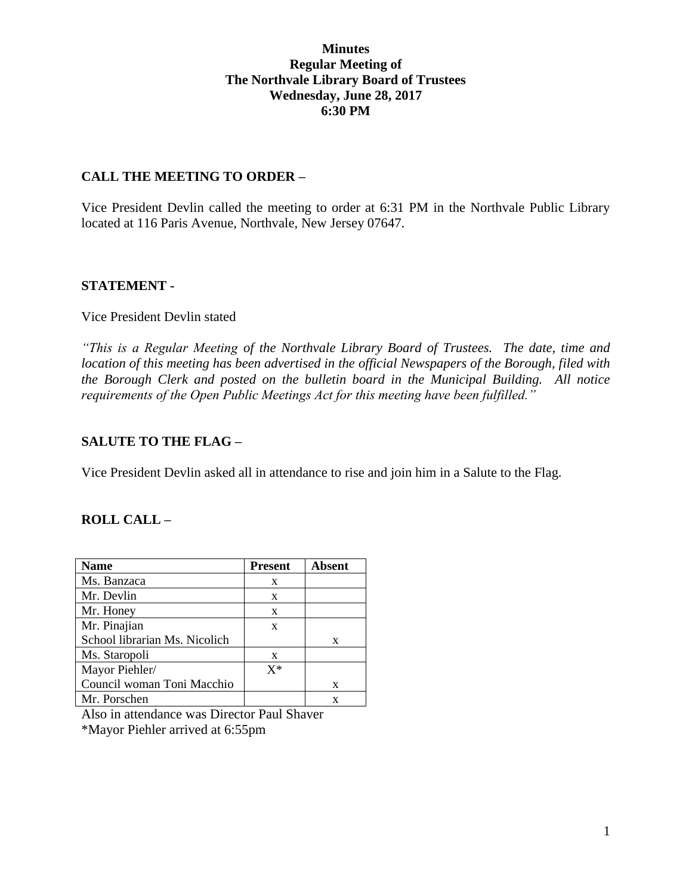## **Minutes Regular Meeting of The Northvale Library Board of Trustees Wednesday, June 28, 2017 6:30 PM**

## **CALL THE MEETING TO ORDER –**

Vice President Devlin called the meeting to order at 6:31 PM in the Northvale Public Library located at 116 Paris Avenue, Northvale, New Jersey 07647.

## **STATEMENT -**

#### Vice President Devlin stated

*"This is a Regular Meeting of the Northvale Library Board of Trustees. The date, time and location of this meeting has been advertised in the official Newspapers of the Borough, filed with the Borough Clerk and posted on the bulletin board in the Municipal Building. All notice requirements of the Open Public Meetings Act for this meeting have been fulfilled."* 

## **SALUTE TO THE FLAG –**

Vice President Devlin asked all in attendance to rise and join him in a Salute to the Flag.

# **ROLL CALL –**

| <b>Name</b>                   | <b>Present</b> | <b>Absent</b> |
|-------------------------------|----------------|---------------|
| Ms. Banzaca                   | X              |               |
| Mr. Devlin                    | X              |               |
| Mr. Honey                     | X              |               |
| Mr. Pinajian                  | X              |               |
| School librarian Ms. Nicolich |                | X             |
| Ms. Staropoli                 | X              |               |
| Mayor Piehler/                | $X^*$          |               |
| Council woman Toni Macchio    |                | X             |
| Mr. Porschen                  |                | x             |

Also in attendance was Director Paul Shaver \*Mayor Piehler arrived at 6:55pm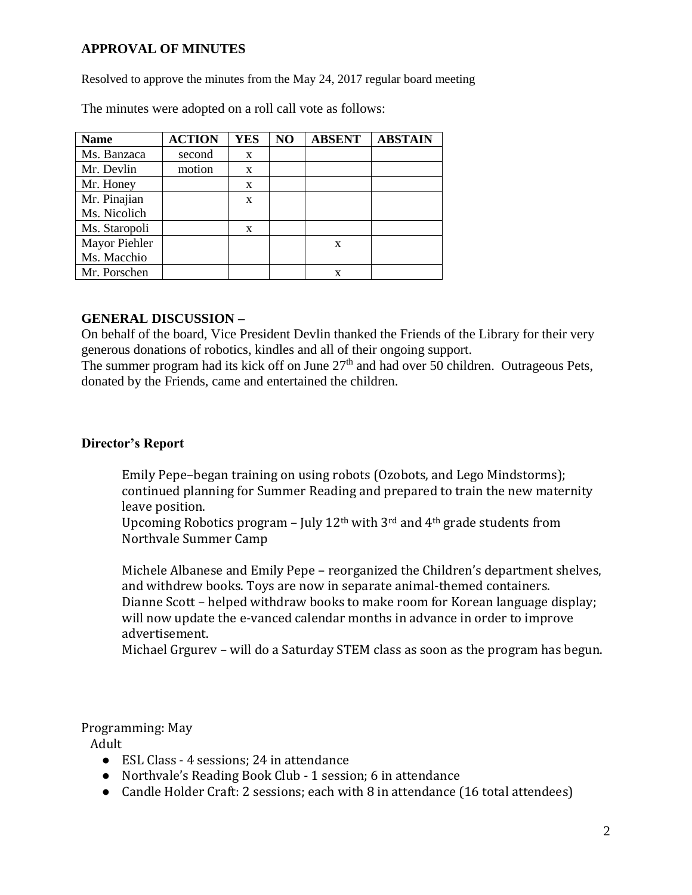# **APPROVAL OF MINUTES**

Resolved to approve the minutes from the May 24, 2017 regular board meeting

| <b>Name</b>   | <b>ACTION</b> | <b>YES</b> | NO | <b>ABSENT</b> | <b>ABSTAIN</b> |
|---------------|---------------|------------|----|---------------|----------------|
| Ms. Banzaca   | second        | X          |    |               |                |
| Mr. Devlin    | motion        | X          |    |               |                |
| Mr. Honey     |               | X          |    |               |                |
| Mr. Pinajian  |               | X          |    |               |                |
| Ms. Nicolich  |               |            |    |               |                |
| Ms. Staropoli |               | X          |    |               |                |
| Mayor Piehler |               |            |    | X             |                |
| Ms. Macchio   |               |            |    |               |                |
| Mr. Porschen  |               |            |    | x             |                |

The minutes were adopted on a roll call vote as follows:

## **GENERAL DISCUSSION –**

On behalf of the board, Vice President Devlin thanked the Friends of the Library for their very generous donations of robotics, kindles and all of their ongoing support.

The summer program had its kick off on June  $27<sup>th</sup>$  and had over 50 children. Outrageous Pets, donated by the Friends, came and entertained the children.

#### **Director's Report**

Emily Pepe–began training on using robots (Ozobots, and Lego Mindstorms); continued planning for Summer Reading and prepared to train the new maternity leave position.

Upcoming Robotics program – July  $12<sup>th</sup>$  with 3<sup>rd</sup> and 4<sup>th</sup> grade students from Northvale Summer Camp

Michele Albanese and Emily Pepe – reorganized the Children's department shelves, and withdrew books. Toys are now in separate animal-themed containers. Dianne Scott – helped withdraw books to make room for Korean language display; will now update the e-vanced calendar months in advance in order to improve advertisement.

Michael Grgurev – will do a Saturday STEM class as soon as the program has begun.

#### Programming: May

Adult

- ESL Class 4 sessions: 24 in attendance
- Northvale's Reading Book Club 1 session; 6 in attendance
- Candle Holder Craft: 2 sessions; each with 8 in attendance (16 total attendees)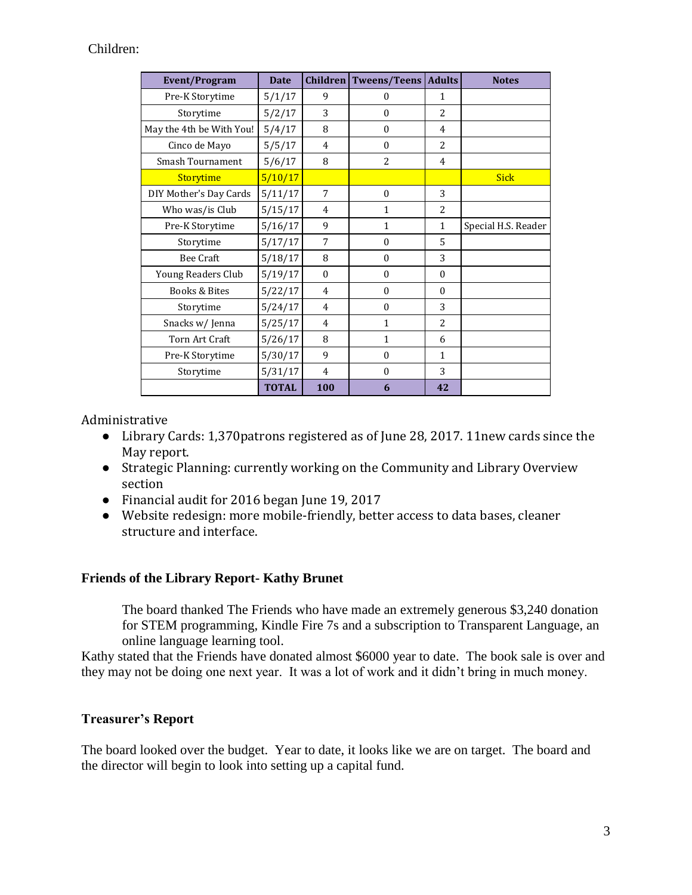# Children:

| <b>Event/Program</b>     | <b>Date</b>  | <b>Children</b> | Tweens/Teens     | <b>Adults</b>  | <b>Notes</b>        |
|--------------------------|--------------|-----------------|------------------|----------------|---------------------|
| Pre-K Storytime          | 5/1/17       | 9               | $\boldsymbol{0}$ | 1              |                     |
| Storytime                | 5/2/17       | 3               | $\theta$         | $\overline{c}$ |                     |
| May the 4th be With You! | 5/4/17       | 8               | $\theta$         | 4              |                     |
| Cinco de Mayo            | 5/5/17       | 4               | $\theta$         | $\overline{2}$ |                     |
| <b>Smash Tournament</b>  | 5/6/17       | 8               | $\overline{a}$   | 4              |                     |
| Storytime                | 5/10/17      |                 |                  |                | <b>Sick</b>         |
| DIY Mother's Day Cards   | 5/11/17      | 7               | $\theta$         | 3              |                     |
| Who was/is Club          | 5/15/17      | 4               | $\mathbf{1}$     | $\overline{2}$ |                     |
| Pre-K Storytime          | 5/16/17      | 9               | $\mathbf{1}$     | $\mathbf{1}$   | Special H.S. Reader |
| Storytime                | 5/17/17      | 7               | $\theta$         | 5              |                     |
| <b>Bee Craft</b>         | 5/18/17      | 8               | $\theta$         | 3              |                     |
| Young Readers Club       | 5/19/17      | $\theta$        | $\theta$         | $\Omega$       |                     |
| Books & Bites            | 5/22/17      | 4               | $\theta$         | $\Omega$       |                     |
| Storytime                | 5/24/17      | 4               | $\Omega$         | 3              |                     |
| Snacks w/ Jenna          | 5/25/17      | $\overline{4}$  | $\mathbf{1}$     | $\overline{2}$ |                     |
| Torn Art Craft           | 5/26/17      | 8               | $\mathbf{1}$     | 6              |                     |
| Pre-K Storytime          | 5/30/17      | 9               | $\theta$         | $\mathbf{1}$   |                     |
| Storytime                | 5/31/17      | $\overline{4}$  | $\Omega$         | 3              |                     |
|                          | <b>TOTAL</b> | 100             | 6                | 42             |                     |

## Administrative

- Library Cards: 1,370patrons registered as of June 28, 2017. 11new cards since the May report.
- Strategic Planning: currently working on the Community and Library Overview section
- Financial audit for 2016 began June 19, 2017
- Website redesign: more mobile-friendly, better access to data bases, cleaner structure and interface.

#### **Friends of the Library Report- Kathy Brunet**

The board thanked The Friends who have made an extremely generous \$3,240 donation for STEM programming, Kindle Fire 7s and a subscription to Transparent Language, an online language learning tool.

Kathy stated that the Friends have donated almost \$6000 year to date. The book sale is over and they may not be doing one next year. It was a lot of work and it didn't bring in much money.

#### **Treasurer's Report**

The board looked over the budget. Year to date, it looks like we are on target. The board and the director will begin to look into setting up a capital fund.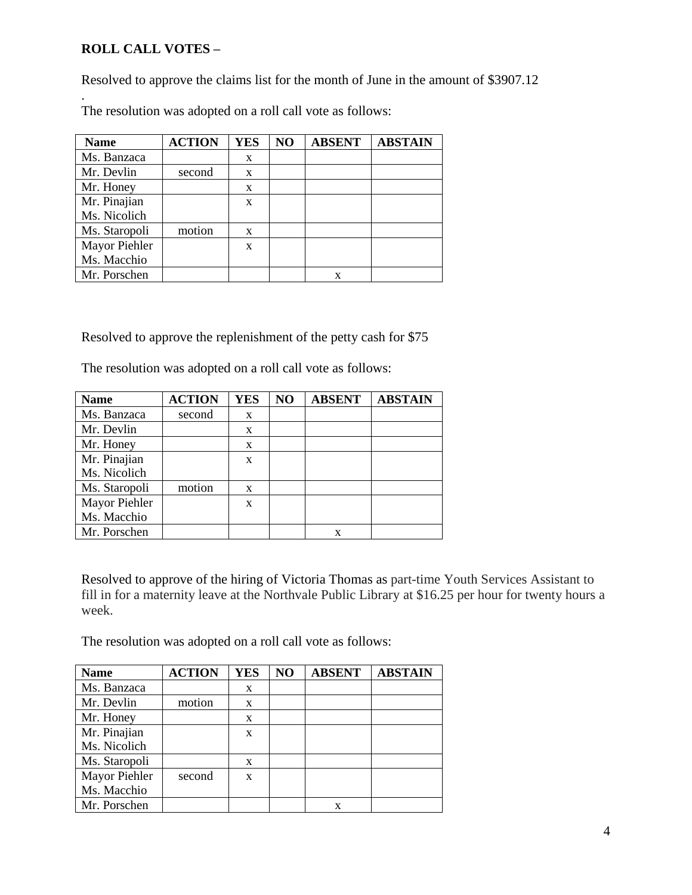# **ROLL CALL VOTES –**

Resolved to approve the claims list for the month of June in the amount of \$3907.12

. The resolution was adopted on a roll call vote as follows:

| <b>Name</b>   | <b>ACTION</b> | <b>YES</b>   | NO | <b>ABSENT</b> | <b>ABSTAIN</b> |
|---------------|---------------|--------------|----|---------------|----------------|
| Ms. Banzaca   |               | X            |    |               |                |
| Mr. Devlin    | second        | X            |    |               |                |
| Mr. Honey     |               | X            |    |               |                |
| Mr. Pinajian  |               | X            |    |               |                |
| Ms. Nicolich  |               |              |    |               |                |
| Ms. Staropoli | motion        | X            |    |               |                |
| Mayor Piehler |               | $\mathbf{x}$ |    |               |                |
| Ms. Macchio   |               |              |    |               |                |
| Mr. Porschen  |               |              |    | X             |                |

Resolved to approve the replenishment of the petty cash for \$75

The resolution was adopted on a roll call vote as follows:

| <b>Name</b>   | <b>ACTION</b> | <b>YES</b> | NO | <b>ABSENT</b> | <b>ABSTAIN</b> |
|---------------|---------------|------------|----|---------------|----------------|
| Ms. Banzaca   | second        | X          |    |               |                |
| Mr. Devlin    |               | X          |    |               |                |
| Mr. Honey     |               | X          |    |               |                |
| Mr. Pinajian  |               | X          |    |               |                |
| Ms. Nicolich  |               |            |    |               |                |
| Ms. Staropoli | motion        | X          |    |               |                |
| Mayor Piehler |               | X          |    |               |                |
| Ms. Macchio   |               |            |    |               |                |
| Mr. Porschen  |               |            |    |               |                |

Resolved to approve of the hiring of Victoria Thomas as part-time Youth Services Assistant to fill in for a maternity leave at the Northvale Public Library at \$16.25 per hour for twenty hours a week.

The resolution was adopted on a roll call vote as follows:

| <b>Name</b>   | <b>ACTION</b> | <b>YES</b> | NO | <b>ABSENT</b> | <b>ABSTAIN</b> |
|---------------|---------------|------------|----|---------------|----------------|
| Ms. Banzaca   |               | X          |    |               |                |
| Mr. Devlin    | motion        | X          |    |               |                |
| Mr. Honey     |               | X          |    |               |                |
| Mr. Pinajian  |               | X          |    |               |                |
| Ms. Nicolich  |               |            |    |               |                |
| Ms. Staropoli |               | X          |    |               |                |
| Mayor Piehler | second        | X          |    |               |                |
| Ms. Macchio   |               |            |    |               |                |
| Mr. Porschen  |               |            |    | x             |                |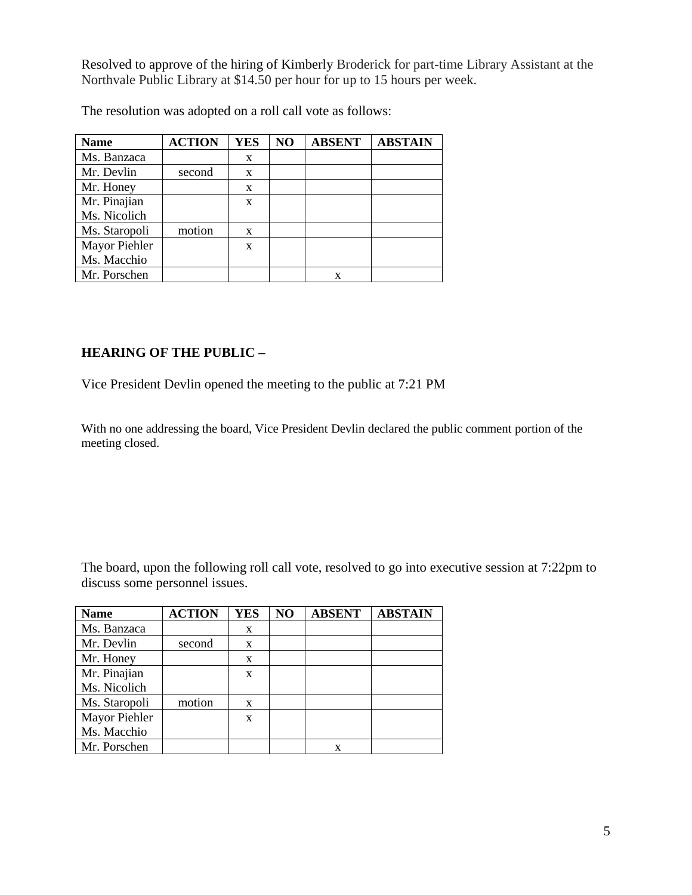Resolved to approve of the hiring of Kimberly Broderick for part-time Library Assistant at the Northvale Public Library at \$14.50 per hour for up to 15 hours per week.

| <b>Name</b>   | <b>ACTION</b> | <b>YES</b> | N <sub>O</sub> | <b>ABSENT</b> | <b>ABSTAIN</b> |
|---------------|---------------|------------|----------------|---------------|----------------|
| Ms. Banzaca   |               | X          |                |               |                |
| Mr. Devlin    | second        | X          |                |               |                |
| Mr. Honey     |               | X          |                |               |                |
| Mr. Pinajian  |               | X          |                |               |                |
| Ms. Nicolich  |               |            |                |               |                |
| Ms. Staropoli | motion        | X          |                |               |                |
| Mayor Piehler |               | X          |                |               |                |
| Ms. Macchio   |               |            |                |               |                |
| Mr. Porschen  |               |            |                | x             |                |

The resolution was adopted on a roll call vote as follows:

# **HEARING OF THE PUBLIC –**

Vice President Devlin opened the meeting to the public at 7:21 PM

With no one addressing the board, Vice President Devlin declared the public comment portion of the meeting closed.

The board, upon the following roll call vote, resolved to go into executive session at 7:22pm to discuss some personnel issues.

| <b>Name</b>   | <b>ACTION</b> | <b>YES</b> | NO | <b>ABSENT</b> | <b>ABSTAIN</b> |
|---------------|---------------|------------|----|---------------|----------------|
| Ms. Banzaca   |               | X          |    |               |                |
| Mr. Devlin    | second        | X          |    |               |                |
| Mr. Honey     |               | X          |    |               |                |
| Mr. Pinajian  |               | X          |    |               |                |
| Ms. Nicolich  |               |            |    |               |                |
| Ms. Staropoli | motion        | X          |    |               |                |
| Mayor Piehler |               | X          |    |               |                |
| Ms. Macchio   |               |            |    |               |                |
| Mr. Porschen  |               |            |    | X             |                |